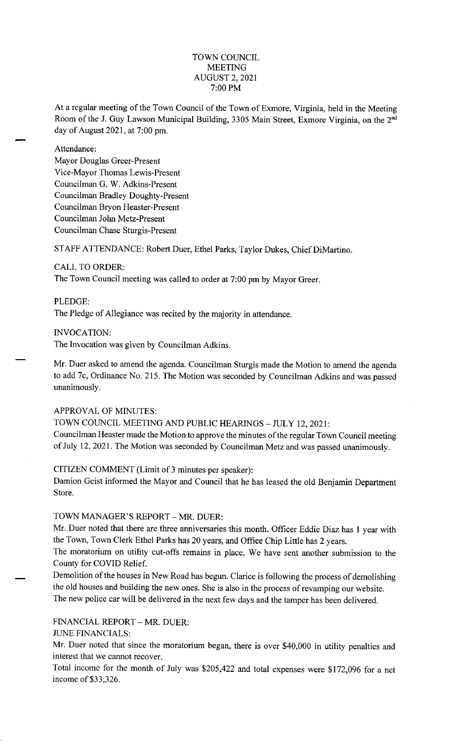## TOWN COUNCIL **MEETING** AUGUST 2, 2021 7: 00 PM

At a regular meeting of the Town Council of the Town of Exmore, Virginia, held in the Meeting Room of the J. Guy Lawson Municipal Building, 3305 Main Street, Exmore Virginia, on the 2"d day of August 2021, at 7:00 pm.

Attendance:

Mayor Douglas Greer-Present Vice-Mayor Thomas Lewis-Present Councilman G. W. Adkins-Present Councilman Bradley Doughty-Present Councilman Bryon Heaster-Present Councilman John Metz-Present Councilman Chase Sturgis-Present

STAFF ATTENDANCE: Robert Duer, Ethel Parks, Taylor Dukes, Chief DiMartino.

CALL TO ORDER:

The Town Council meeting was called to order at 7:00 pm by Mayor Greer.

PLEDGE: The Pledge of Allegiance was recited by the majority in attendance.

INVOCATION:

The Invocation was given by Councilman Adkins.

Mr. Duer asked to amend the agenda. Councilman Sturgis made the Motion to amend the agenda to add 7c, Ordinance No. 215. The Motion was seconded by Councilman Adkins and was passed unanimously.

APPROVAL OF MINUTES:

TOWN COUNCIL MEETING AND PUBLIC HEARINGS - JULY 12, 2021:

Councilman Heaster made the Motion to approve the minutes of the regular Town Council meeting of July 12, 2021. The Motion was seconded by Councilman Metz and was passed unanimously.

CITIZEN COMMENT (Limit of 3 minutes per speaker):

Damion Geist informed the Mayor and Council that he has leased the old Benjamin Department Store.

## TOWN MANAGER'S REPORT - MR. DUER:

Mr. Duer noted that there are three anniversaries this month. Officer Eddie Diaz has 1 year with the Town, Town Clerk Ethel Parks has 20 years, and Office Chip Little has 2 years.

The moratorium on utility cut-offs remains in place. We have sent another submission to the County for COVID Relief.

Demolition of the houses in New Road has begun. Clarice is following the process of demolishing the old houses and building the new ones. She is also in the process of revamping our website. The new police car will be delivered in the next few days and the tamper has been delivered.

FINANCIAL REPORT - MR. DUER:

JUNE FINANCIALS:

Mr. Duer noted that since the moratorium began, there is over \$40,000 in utility penalties and interest that we cannot recover.

Total income for the month of July was \$205,422 and total expenses were \$172,096 for a net income of \$33,326.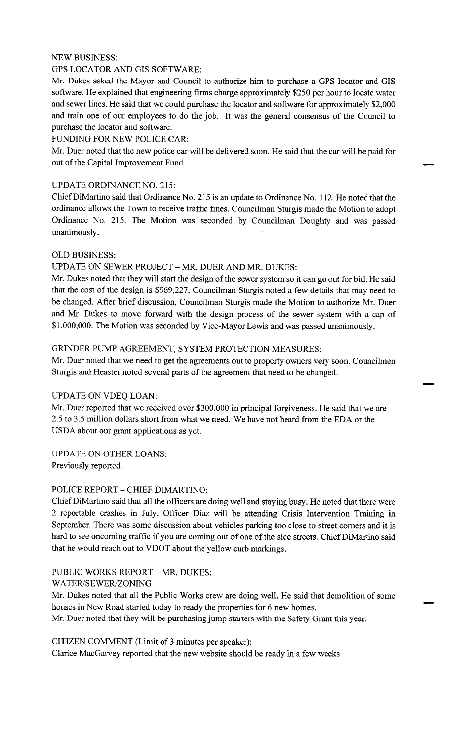## NEW BUSINESS:

#### GPS LOCATOR AND GIS SOFTWARE:

Mr. Dukes asked the Mayor and Council to authorize him to purchase a GPS locator and GIS software. He explained that engineering firms charge approximately \$250 per hour to locate water and sewer lines. He said that we could purchase the locator and software for approximately \$2,000 and train one of our employees to do the job. It was the general consensus of the Council to purchase the locator and software.

## FUNDING FOR NEW POLICE CAR:

Mr. Duer noted that the new police car will be delivered soon. He said that the car will be paid for out of the Capital Improvement Fund. .

## UPDATE ORDINANCE NO. 215:

Chief DiMartino said that Ordinance No. 215 is an update to Ordinance No. I 12. He noted that the ordinance allows the Town to receive traffic fines. Councilman Sturgis made the Motion to adopt Ordinance No. 215. The Motion was seconded by Councilman Doughty and was passed unanimously.

#### OLD BUSINESS:

## UPDATE ON SEWER PROJECT - MR. DUER AND MR. DUKES:

Mr. Dukes noted that they will start the design of the sewer system so it can go out for bid. He said that the cost of the design is \$969,227. Councilman Sturgis noted a few details that may need to be changed. After brief discussion, Councilman Sturgis made the Motion to authorize Mr. Duer and Mr. Dukes to move forward with the design process of the sewer system with a cap of \$1,000,000. The Motion was seconded by Vice-Mayor Lewis and was passed unanimously.

#### GRINDER PUMP AGREEMENT, SYSTEM PROTECTION MEASURES:

Mr. Duer noted that we need to get the agreements out to property owners very soon. Councilmen Sturgis and Heaster noted several parts of the agreement that need to be changed.

#### UPDATE ON VDEQ LOAN:

Mr. Duer reported that we received over \$300,000 in principal forgiveness. He said that we are 2.5 to 3.5 million dollars short from what we need. We have not heard from the EDA or the USDA about our grant applications as yet.

UPDATE ON OTHER LOANS: Previously reported.

## POLICE REPORT - CHIEF DIMARTINO:

Chief DiMartino said that all the ofñcers are doing well and staying busy. He noted that there were 2 reportable crashes in July. Officer Diaz will be attending Crisis Intervention Training in September. There was some discussion about vehicles parking too close to street corners and it is hard to see oncoming traffic if you are coming out of one of the side streets. Chief DiMartino said that he would reach out to VDOT about the yellow curb markings.

#### PUBLIC WORKS REPORT - MR. DUKES:

#### WATER/SEWER/ZONING

Mr. Dukes noted that all the Public Works crew are doing well. He said that demolition of some houses in New Road started today to ready the properties for 6 new homes.

Mr. Duer noted that they will be purchasing jump starters with the Safety Grant this year.

## CITIZEN COMMENT (Limit of 3 minutes per speaker):

Clarice MacGarvey reported that the new website should be ready in a few weeks